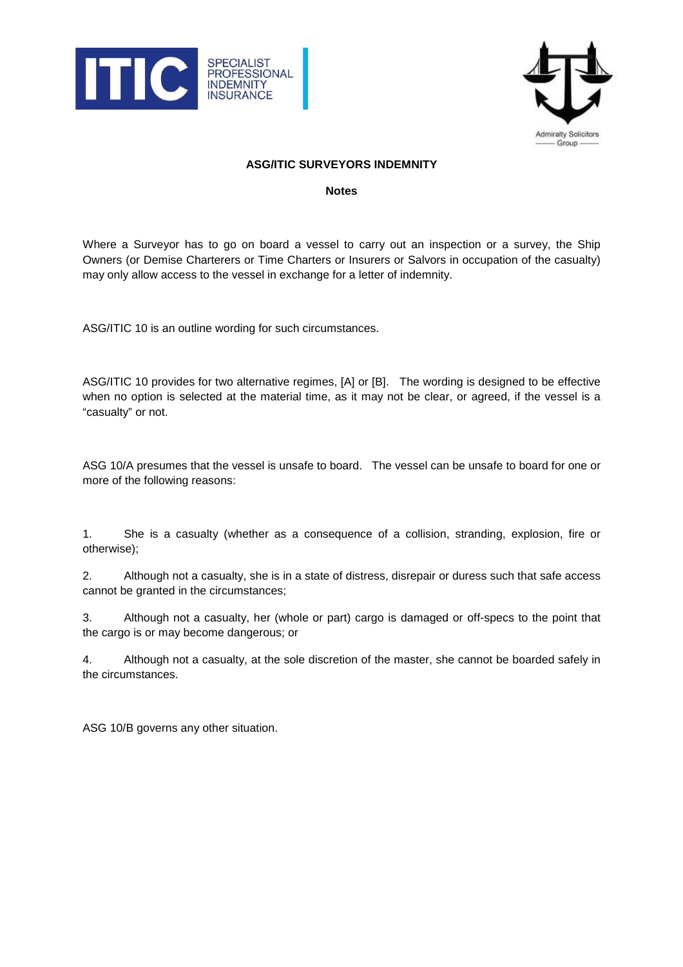



## **ASG/ITIC SURVEYORS INDEMNITY**

## **Notes**

Where a Surveyor has to go on board a vessel to carry out an inspection or a survey, the Ship Owners (or Demise Charterers or Time Charters or Insurers or Salvors in occupation of the casualty) may only allow access to the vessel in exchange for a letter of indemnity.

ASG/ITIC 10 is an outline wording for such circumstances.

ASG/ITIC 10 provides for two alternative regimes, [A] or [B]. The wording is designed to be effective when no option is selected at the material time, as it may not be clear, or agreed, if the vessel is a "casualty" or not.

ASG 10/A presumes that the vessel is unsafe to board. The vessel can be unsafe to board for one or more of the following reasons:

1. She is a casualty (whether as a consequence of a collision, stranding, explosion, fire or otherwise);

2. Although not a casualty, she is in a state of distress, disrepair or duress such that safe access cannot be granted in the circumstances;

3. Although not a casualty, her (whole or part) cargo is damaged or off-specs to the point that the cargo is or may become dangerous; or

4. Although not a casualty, at the sole discretion of the master, she cannot be boarded safely in the circumstances.

ASG 10/B governs any other situation.